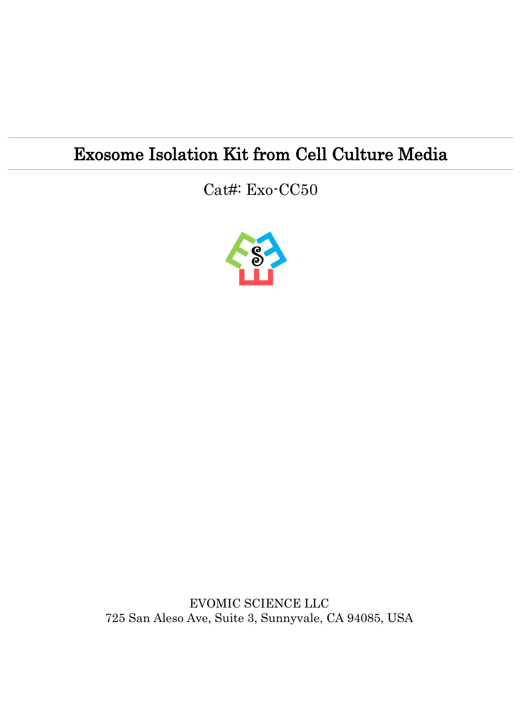### Exosome Isolation Kit from Cell Culture Media

#### Cat#: Exo-CC50



EVOMIC SCIENCE LLC 725 San Aleso Ave, Suite 3, Sunnyvale, CA 94085, USA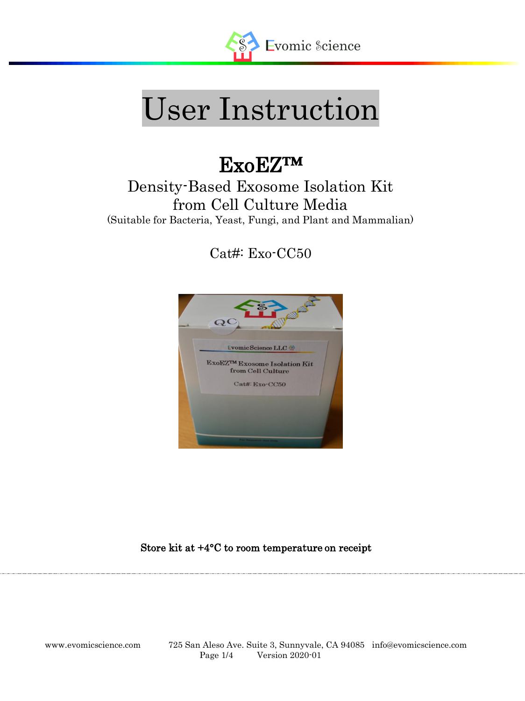

# User Instruction

## ExoEZ™

#### Density-Based Exosome Isolation Kit from Cell Culture Media (Suitable for Bacteria, Yeast, Fungi, and Plant and Mammalian)

Cat#: Exo-CC50



Store kit at +4°C to room temperature on receipt

l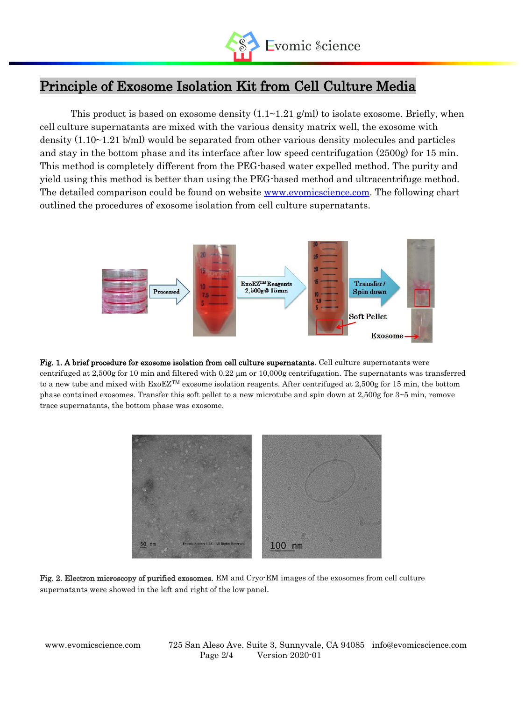

#### Principle of Exosome Isolation Kit from Cell Culture Media

This product is based on exosome density  $(1.1 \sim 1.21 \text{ g/ml})$  to isolate exosome. Briefly, when cell culture supernatants are mixed with the various density matrix well, the exosome with density (1.10~1.21 b/ml) would be separated from other various density molecules and particles and stay in the bottom phase and its interface after low speed centrifugation (2500g) for 15 min. This method is completely different from the PEG-based water expelled method. The purity and yield using this method is better than using the PEG-based method and ultracentrifuge method. The detailed comparison could be found on website [www.evomicscience.com.](http://www.evomicscience.com/) The following chart outlined the procedures of exosome isolation from cell culture supernatants.



Fig. 1. A brief procedure for exosome isolation from cell culture supernatants. Cell culture supernatants were centrifuged at 2,500g for 10 min and filtered with  $0.22 \mu m$  or 10,000g centrifugation. The supernatants was transferred to a new tube and mixed with ExoEZTM exosome isolation reagents. After centrifuged at 2,500g for 15 min, the bottom phase contained exosomes. Transfer this soft pellet to a new microtube and spin down at  $2,500g$  for  $3~5$  min, remove trace supernatants, the bottom phase was exosome.



Fig. 2. Electron microscopy of purified exosomes. EM and Cryo-EM images of the exosomes from cell culture supernatants were showed in the left and right of the low panel.

l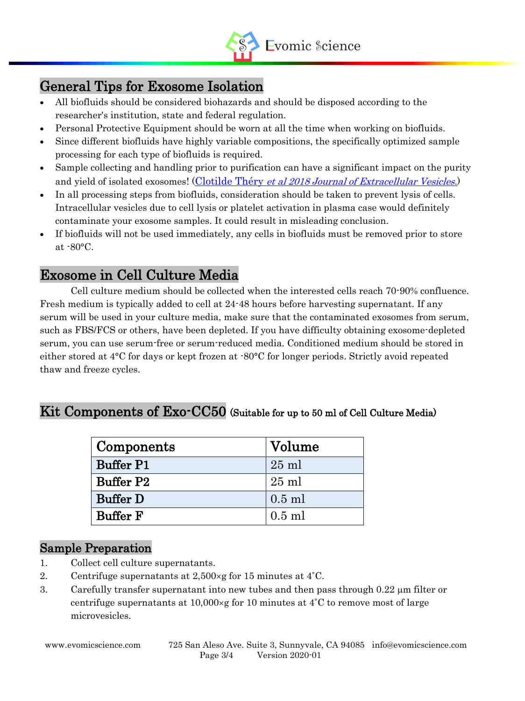

#### General Tips for Exosome Isolation

l

- All biofluids should be considered biohazards and should be disposed according to the researcher's institution, state and federal regulation.
- Personal Protective Equipment should be worn at all the time when working on biofluids.
- Since different biofluids have highly variable compositions, the specifically optimized sample processing for each type of biofluids is required.
- Sample collecting and handling prior to purification can have a significant impact on the purity and yield of isolated exosomes! (Clotilde Théry [et al 2018 Journal of Extracellular Vesicles](https://www.tandfonline.com/doi/full/10.1080/20013078.2018.1535750).)
- In all processing steps from biofluids, consideration should be taken to prevent lysis of cells. Intracellular vesicles due to cell lysis or platelet activation in plasma case would definitely contaminate your exosome samples. It could result in misleading conclusion.
- If biofluids will not be used immediately, any cells in biofluids must be removed prior to store at -80°C.

#### Exosome in Cell Culture Media

Cell culture medium should be collected when the interested cells reach 70-90% confluence. Fresh medium is typically added to cell at 24-48 hours before harvesting supernatant. If any serum will be used in your culture media, make sure that the contaminated exosomes from serum, such as FBS/FCS or others, have been depleted. If you have difficulty obtaining exosome-depleted serum, you can use serum-free or serum-reduced media. Conditioned medium should be stored in either stored at 4°C for days or kept frozen at -80°C for longer periods. Strictly avoid repeated thaw and freeze cycles.

#### Kit Components of Exo-CC50 (Suitable for up to 50 ml of Cell Culture Media)

| Components       | Volume          |
|------------------|-----------------|
| <b>Buffer P1</b> | $25$ ml         |
| <b>Buffer P2</b> | $25 \text{ ml}$ |
| <b>Buffer D</b>  | $0.5$ ml        |
| <b>Buffer F</b>  | $0.5$ ml        |

#### Sample Preparation

- 1. Collect cell culture supernatants.
- 2. Centrifuge supernatants at  $2,500 \times g$  for 15 minutes at 4<sup>°</sup>C.
- 3. Carefully transfer supernatant into new tubes and then pass through  $0.22 \mu m$  filter or centrifuge supernatants at  $10,000 \times g$  for 10 minutes at 4<sup>°</sup>C to remove most of large microvesicles.